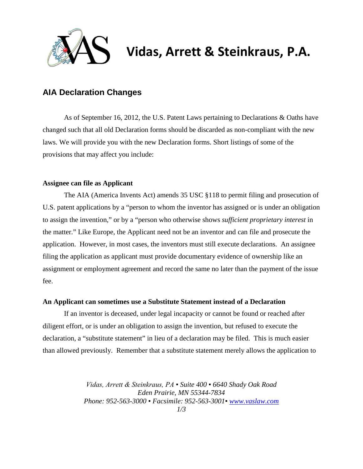

# **Vidas, Arrett & Steinkraus, P.A.**

## **AIA Declaration Changes**

As of September 16, 2012, the U.S. Patent Laws pertaining to Declarations & Oaths have changed such that all old Declaration forms should be discarded as non-compliant with the new laws. We will provide you with the new Declaration forms. Short listings of some of the provisions that may affect you include:

#### **Assignee can file as Applicant**

The AIA (America Invents Act) amends 35 USC §118 to permit filing and prosecution of U.S. patent applications by a "person to whom the inventor has assigned or is under an obligation to assign the invention," or by a "person who otherwise shows *sufficient proprietary interest* in the matter." Like Europe, the Applicant need not be an inventor and can file and prosecute the application. However, in most cases, the inventors must still execute declarations. An assignee filing the application as applicant must provide documentary evidence of ownership like an assignment or employment agreement and record the same no later than the payment of the issue fee.

#### **An Applicant can sometimes use a Substitute Statement instead of a Declaration**

If an inventor is deceased, under legal incapacity or cannot be found or reached after diligent effort, or is under an obligation to assign the invention, but refused to execute the declaration, a "substitute statement" in lieu of a declaration may be filed. This is much easier than allowed previously. Remember that a substitute statement merely allows the application to

> *Vidas, Arrett & Steinkraus, PA ▪ Suite 400 ▪ 6640 Shady Oak Road Eden Prairie, MN 55344-7834 Phone: 952-563-3000 ▪ Facsimile: 952-563-3001▪ [www.vaslaw.com](http://www.vaslaw.com/)*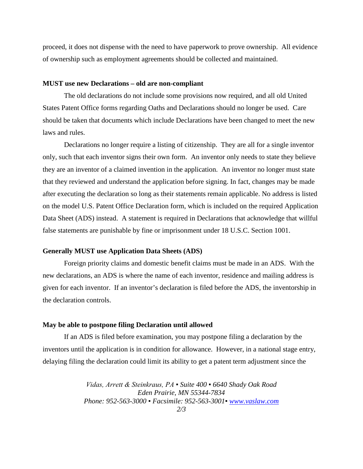proceed, it does not dispense with the need to have paperwork to prove ownership. All evidence of ownership such as employment agreements should be collected and maintained.

#### **MUST use new Declarations – old are non-compliant**

The old declarations do not include some provisions now required, and all old United States Patent Office forms regarding Oaths and Declarations should no longer be used. Care should be taken that documents which include Declarations have been changed to meet the new laws and rules.

Declarations no longer require a listing of citizenship. They are all for a single inventor only, such that each inventor signs their own form. An inventor only needs to state they believe they are an inventor of a claimed invention in the application. An inventor no longer must state that they reviewed and understand the application before signing. In fact, changes may be made after executing the declaration so long as their statements remain applicable. No address is listed on the model U.S. Patent Office Declaration form, which is included on the required Application Data Sheet (ADS) instead. A statement is required in Declarations that acknowledge that willful false statements are punishable by fine or imprisonment under 18 U.S.C. Section 1001.

#### **Generally MUST use Application Data Sheets (ADS)**

Foreign priority claims and domestic benefit claims must be made in an ADS. With the new declarations, an ADS is where the name of each inventor, residence and mailing address is given for each inventor. If an inventor's declaration is filed before the ADS, the inventorship in the declaration controls.

#### **May be able to postpone filing Declaration until allowed**

If an ADS is filed before examination, you may postpone filing a declaration by the inventors until the application is in condition for allowance. However, in a national stage entry, delaying filing the declaration could limit its ability to get a patent term adjustment since the

> *Vidas, Arrett & Steinkraus, PA ▪ Suite 400 ▪ 6640 Shady Oak Road Eden Prairie, MN 55344-7834 Phone: 952-563-3000 ▪ Facsimile: 952-563-3001▪ [www.vaslaw.com](http://www.vaslaw.com/) 2/3*